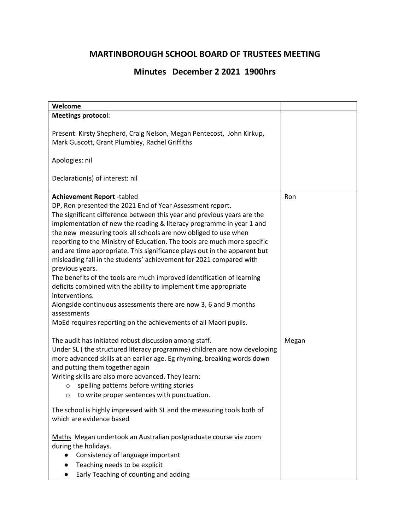## **MARTINBOROUGH SCHOOL BOARD OF TRUSTEES MEETING**

## **Minutes December 2 2021 1900hrs**

| Welcome                                                                   |       |
|---------------------------------------------------------------------------|-------|
| <b>Meetings protocol:</b>                                                 |       |
|                                                                           |       |
| Present: Kirsty Shepherd, Craig Nelson, Megan Pentecost, John Kirkup,     |       |
| Mark Guscott, Grant Plumbley, Rachel Griffiths                            |       |
| Apologies: nil                                                            |       |
|                                                                           |       |
| Declaration(s) of interest: nil                                           |       |
|                                                                           |       |
| <b>Achievement Report -tabled</b>                                         | Ron   |
| DP, Ron presented the 2021 End of Year Assessment report.                 |       |
| The significant difference between this year and previous years are the   |       |
| implementation of new the reading & literacy programme in year 1 and      |       |
| the new measuring tools all schools are now obliged to use when           |       |
| reporting to the Ministry of Education. The tools are much more specific  |       |
| and are time appropriate. This significance plays out in the apparent but |       |
| misleading fall in the students' achievement for 2021 compared with       |       |
| previous years.                                                           |       |
| The benefits of the tools are much improved identification of learning    |       |
| deficits combined with the ability to implement time appropriate          |       |
| interventions.                                                            |       |
| Alongside continuous assessments there are now 3, 6 and 9 months          |       |
| assessments                                                               |       |
| MoEd requires reporting on the achievements of all Maori pupils.          |       |
| The audit has initiated robust discussion among staff.                    | Megan |
| Under SL (the structured literacy programme) children are now developing  |       |
| more advanced skills at an earlier age. Eg rhyming, breaking words down   |       |
| and putting them together again                                           |       |
| Writing skills are also more advanced. They learn:                        |       |
| spelling patterns before writing stories<br>$\circ$                       |       |
| to write proper sentences with punctuation.<br>$\circ$                    |       |
| The school is highly impressed with SL and the measuring tools both of    |       |
| which are evidence based                                                  |       |
|                                                                           |       |
| Maths Megan undertook an Australian postgraduate course via zoom          |       |
| during the holidays.                                                      |       |
| Consistency of language important<br>$\bullet$                            |       |
| Teaching needs to be explicit                                             |       |
| Early Teaching of counting and adding                                     |       |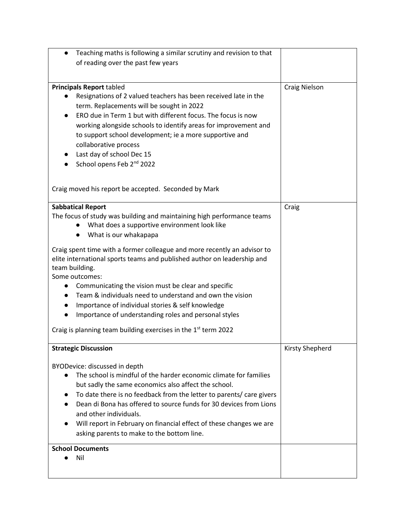| Teaching maths is following a similar scrutiny and revision to that<br>$\bullet$                                                                                      |                      |
|-----------------------------------------------------------------------------------------------------------------------------------------------------------------------|----------------------|
| of reading over the past few years                                                                                                                                    |                      |
|                                                                                                                                                                       |                      |
| <b>Principals Report tabled</b><br>Resignations of 2 valued teachers has been received late in the                                                                    | <b>Craig Nielson</b> |
| term. Replacements will be sought in 2022<br>ERO due in Term 1 but with different focus. The focus is now                                                             |                      |
| working alongside schools to identify areas for improvement and                                                                                                       |                      |
| to support school development; ie a more supportive and                                                                                                               |                      |
| collaborative process                                                                                                                                                 |                      |
| Last day of school Dec 15                                                                                                                                             |                      |
| School opens Feb 2 <sup>nd</sup> 2022                                                                                                                                 |                      |
|                                                                                                                                                                       |                      |
| Craig moved his report be accepted. Seconded by Mark                                                                                                                  |                      |
| <b>Sabbatical Report</b>                                                                                                                                              | Craig                |
| The focus of study was building and maintaining high performance teams                                                                                                |                      |
| What does a supportive environment look like                                                                                                                          |                      |
| What is our whakapapa<br>$\bullet$                                                                                                                                    |                      |
| Craig spent time with a former colleague and more recently an advisor to<br>elite international sports teams and published author on leadership and<br>team building. |                      |
| Some outcomes:                                                                                                                                                        |                      |
| Communicating the vision must be clear and specific<br>$\bullet$                                                                                                      |                      |
| Team & individuals need to understand and own the vision                                                                                                              |                      |
| Importance of individual stories & self knowledge                                                                                                                     |                      |
| Importance of understanding roles and personal styles<br>$\bullet$                                                                                                    |                      |
| Craig is planning team building exercises in the 1st term 2022                                                                                                        |                      |
| <b>Strategic Discussion</b>                                                                                                                                           | Kirsty Shepherd      |
| BYODevice: discussed in depth                                                                                                                                         |                      |
| The school is mindful of the harder economic climate for families                                                                                                     |                      |
| but sadly the same economics also affect the school.                                                                                                                  |                      |
| To date there is no feedback from the letter to parents/ care givers                                                                                                  |                      |
| Dean di Bona has offered to source funds for 30 devices from Lions                                                                                                    |                      |
| and other individuals.                                                                                                                                                |                      |
| Will report in February on financial effect of these changes we are                                                                                                   |                      |
| asking parents to make to the bottom line.                                                                                                                            |                      |
| <b>School Documents</b>                                                                                                                                               |                      |
| Nil                                                                                                                                                                   |                      |
|                                                                                                                                                                       |                      |
|                                                                                                                                                                       |                      |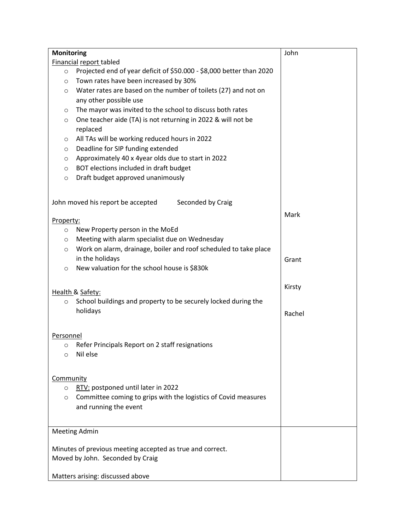| <b>Monitoring</b>                                                               | John   |
|---------------------------------------------------------------------------------|--------|
| Financial report tabled                                                         |        |
| Projected end of year deficit of \$50.000 - \$8,000 better than 2020<br>$\circ$ |        |
| Town rates have been increased by 30%<br>$\circ$                                |        |
| Water rates are based on the number of toilets (27) and not on<br>$\circ$       |        |
| any other possible use                                                          |        |
| The mayor was invited to the school to discuss both rates<br>$\circ$            |        |
| One teacher aide (TA) is not returning in 2022 & will not be<br>$\circ$         |        |
| replaced                                                                        |        |
| All TAs will be working reduced hours in 2022<br>$\circ$                        |        |
| Deadline for SIP funding extended<br>$\circ$                                    |        |
| Approximately 40 x 4year olds due to start in 2022<br>$\circ$                   |        |
| BOT elections included in draft budget<br>O                                     |        |
| Draft budget approved unanimously<br>$\circ$                                    |        |
|                                                                                 |        |
|                                                                                 |        |
| John moved his report be accepted<br>Seconded by Craig                          |        |
|                                                                                 | Mark   |
| Property:                                                                       |        |
| New Property person in the MoEd<br>$\circ$                                      |        |
| Meeting with alarm specialist due on Wednesday<br>$\circ$                       |        |
| Work on alarm, drainage, boiler and roof scheduled to take place<br>$\circ$     |        |
| in the holidays                                                                 | Grant  |
| New valuation for the school house is \$830k<br>$\circ$                         |        |
|                                                                                 |        |
| Health & Safety:                                                                | Kirsty |
| School buildings and property to be securely locked during the<br>$\circ$       |        |
|                                                                                 |        |
| holidays                                                                        | Rachel |
|                                                                                 |        |
| Personnel                                                                       |        |
| Refer Principals Report on 2 staff resignations<br>O                            |        |
| Nil else<br>$\circ$                                                             |        |
|                                                                                 |        |
|                                                                                 |        |
| Community                                                                       |        |
| RTV: postponed until later in 2022<br>$\circ$                                   |        |
| Committee coming to grips with the logistics of Covid measures<br>O             |        |
| and running the event                                                           |        |
|                                                                                 |        |
| <b>Meeting Admin</b>                                                            |        |
|                                                                                 |        |
| Minutes of previous meeting accepted as true and correct.                       |        |
| Moved by John. Seconded by Craig                                                |        |
|                                                                                 |        |
| Matters arising: discussed above                                                |        |